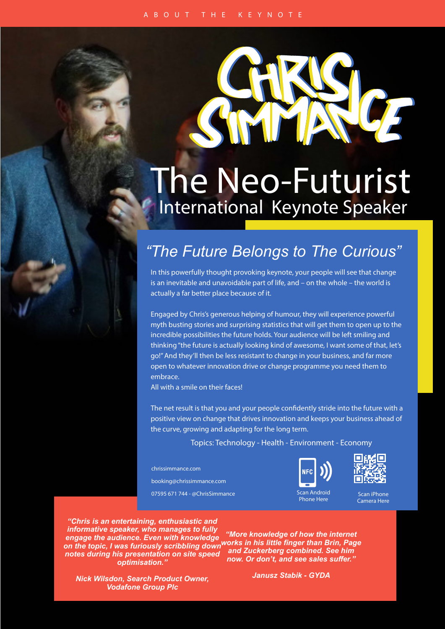

## International Keynote Speaker The Neo-Futurist

## *"The Future Belongs to The Curious"*

In this powerfully thought provoking keynote, your people will see that change is an inevitable and unavoidable part of life, and – on the whole – the world is actually a far better place because of it.

Engaged by Chris's generous helping of humour, they will experience powerful myth busting stories and surprising statistics that will get them to open up to the incredible possibilities the future holds. Your audience will be left smiling and thinking "the future is actually looking kind of awesome, I want some of that, let's go!" And they'll then be less resistant to change in your business, and far more open to whatever innovation drive or change programme you need them to embrace.

All with a smile on their faces!

The net result is that you and your people confidently stride into the future with a positive view on change that drives innovation and keeps your business ahead of the curve, growing and adapting for the long term.

Topics: Technology - Health - Environment - Economy

chrissimmance.com booking@chrissimmance.com 07595 671 744 - @ChrisSimmance





Scan iPhone Camera Here

*"Chris is an entertaining, enthusiastic and informative speaker, who manages to fully engage the audience. Even with knowledge notes during his presentation on site speed optimisation."*

*on the topic, I was furiously scribbling down works in his little finger than Brin, Page "More knowledge of how the internet and Zuckerberg combined. See him now. Or don't, and see sales suffer."*

*Nick Wilsdon, Search Product Owner, Vodafone Group Plc*

*Janusz Stabik - GYDA*